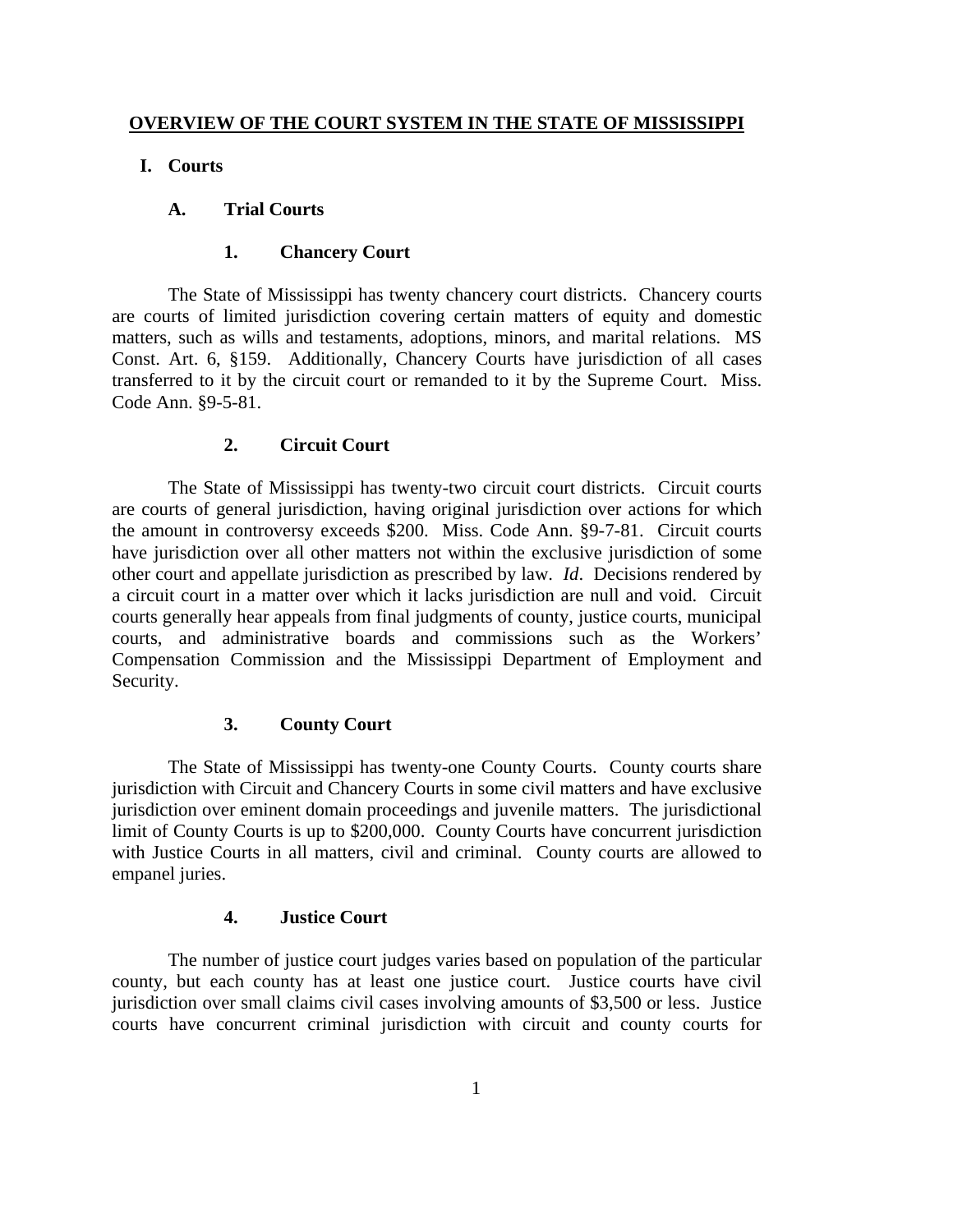## **OVERVIEW OF THE COURT SYSTEM IN THE STATE OF MISSISSIPPI**

### **I. Courts**

### **A. Trial Courts**

### **1. Chancery Court**

 The State of Mississippi has twenty chancery court districts. Chancery courts are courts of limited jurisdiction covering certain matters of equity and domestic matters, such as wills and testaments, adoptions, minors, and marital relations. MS Const. Art. 6, §159. Additionally, Chancery Courts have jurisdiction of all cases transferred to it by the circuit court or remanded to it by the Supreme Court. Miss. Code Ann. §9-5-81.

# **2. Circuit Court**

 The State of Mississippi has twenty-two circuit court districts. Circuit courts are courts of general jurisdiction, having original jurisdiction over actions for which the amount in controversy exceeds \$200. Miss. Code Ann. §9-7-81. Circuit courts have jurisdiction over all other matters not within the exclusive jurisdiction of some other court and appellate jurisdiction as prescribed by law. *Id*. Decisions rendered by a circuit court in a matter over which it lacks jurisdiction are null and void. Circuit courts generally hear appeals from final judgments of county, justice courts, municipal courts, and administrative boards and commissions such as the Workers' Compensation Commission and the Mississippi Department of Employment and Security.

### **3. County Court**

 The State of Mississippi has twenty-one County Courts. County courts share jurisdiction with Circuit and Chancery Courts in some civil matters and have exclusive jurisdiction over eminent domain proceedings and juvenile matters. The jurisdictional limit of County Courts is up to \$200,000. County Courts have concurrent jurisdiction with Justice Courts in all matters, civil and criminal. County courts are allowed to empanel juries.

# **4. Justice Court**

 The number of justice court judges varies based on population of the particular county, but each county has at least one justice court. Justice courts have civil jurisdiction over small claims civil cases involving amounts of \$3,500 or less. Justice courts have concurrent criminal jurisdiction with circuit and county courts for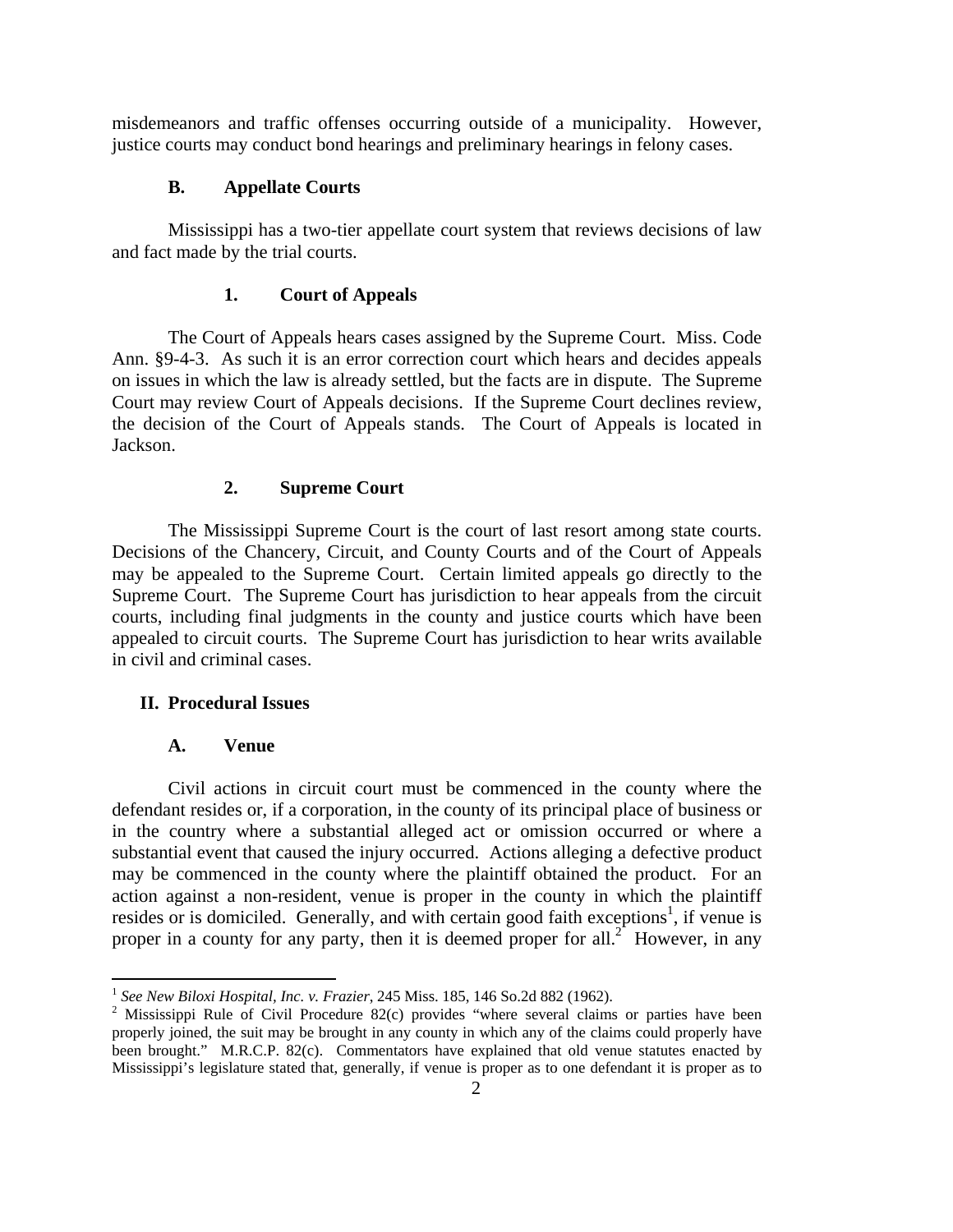misdemeanors and traffic offenses occurring outside of a municipality. However, justice courts may conduct bond hearings and preliminary hearings in felony cases.

### **B. Appellate Courts**

Mississippi has a two-tier appellate court system that reviews decisions of law and fact made by the trial courts.

## **1. Court of Appeals**

 The Court of Appeals hears cases assigned by the Supreme Court. Miss. Code Ann. §9-4-3. As such it is an error correction court which hears and decides appeals on issues in which the law is already settled, but the facts are in dispute. The Supreme Court may review Court of Appeals decisions. If the Supreme Court declines review, the decision of the Court of Appeals stands. The Court of Appeals is located in Jackson.

# **2. Supreme Court**

 The Mississippi Supreme Court is the court of last resort among state courts. Decisions of the Chancery, Circuit, and County Courts and of the Court of Appeals may be appealed to the Supreme Court. Certain limited appeals go directly to the Supreme Court. The Supreme Court has jurisdiction to hear appeals from the circuit courts, including final judgments in the county and justice courts which have been appealed to circuit courts. The Supreme Court has jurisdiction to hear writs available in civil and criminal cases.

### **II. Procedural Issues**

### **A. Venue**

 $\overline{a}$ 

 Civil actions in circuit court must be commenced in the county where the defendant resides or, if a corporation, in the county of its principal place of business or in the country where a substantial alleged act or omission occurred or where a substantial event that caused the injury occurred. Actions alleging a defective product may be commenced in the county where the plaintiff obtained the product. For an action against a non-resident, venue is proper in the county in which the plaintiff resides or is domiciled. Generally, and with certain good faith exceptions<sup>1</sup>, if venue is proper in a county for any party, then it is deemed proper for all.<sup>2</sup> However, in any

<sup>1</sup> *See New Biloxi Hospital, Inc. v. Frazier*, 245 Miss. 185, 146 So.2d 882 (1962). 2

 $2$  Mississippi Rule of Civil Procedure 82(c) provides "where several claims or parties have been properly joined, the suit may be brought in any county in which any of the claims could properly have been brought." M.R.C.P. 82(c). Commentators have explained that old venue statutes enacted by Mississippi's legislature stated that, generally, if venue is proper as to one defendant it is proper as to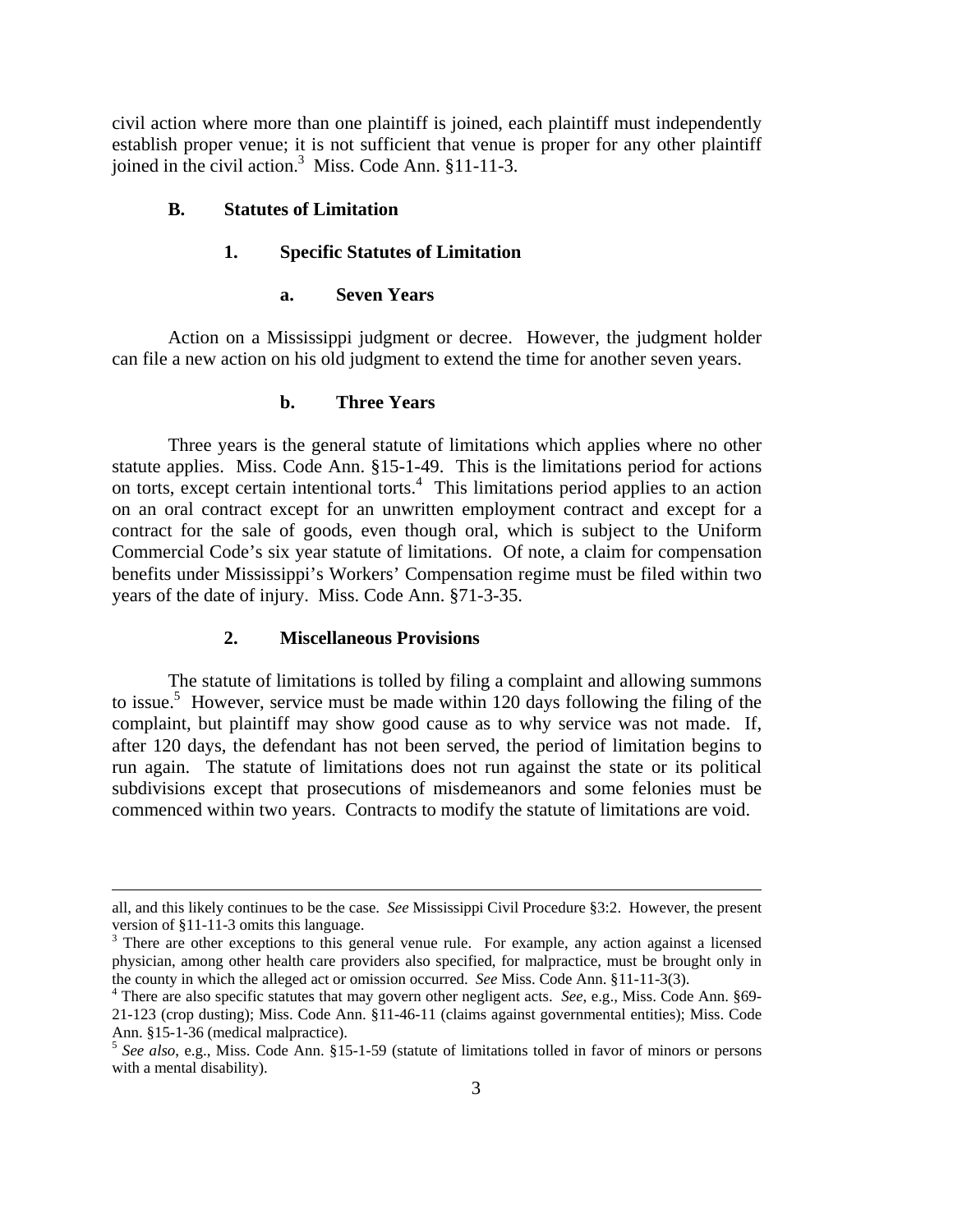civil action where more than one plaintiff is joined, each plaintiff must independently establish proper venue; it is not sufficient that venue is proper for any other plaintiff joined in the civil action.<sup>3</sup> Miss. Code Ann.  $§11-11-3$ .

## **B. Statutes of Limitation**

### **1. Specific Statutes of Limitation**

#### **a. Seven Years**

 Action on a Mississippi judgment or decree. However, the judgment holder can file a new action on his old judgment to extend the time for another seven years.

## **b. Three Years**

 Three years is the general statute of limitations which applies where no other statute applies. Miss. Code Ann. §15-1-49. This is the limitations period for actions on torts, except certain intentional torts. $4$  This limitations period applies to an action on an oral contract except for an unwritten employment contract and except for a contract for the sale of goods, even though oral, which is subject to the Uniform Commercial Code's six year statute of limitations. Of note, a claim for compensation benefits under Mississippi's Workers' Compensation regime must be filed within two years of the date of injury. Miss. Code Ann. §71-3-35.

#### **2. Miscellaneous Provisions**

 The statute of limitations is tolled by filing a complaint and allowing summons to issue.<sup>5</sup> However, service must be made within 120 days following the filing of the complaint, but plaintiff may show good cause as to why service was not made. If, after 120 days, the defendant has not been served, the period of limitation begins to run again. The statute of limitations does not run against the state or its political subdivisions except that prosecutions of misdemeanors and some felonies must be commenced within two years. Contracts to modify the statute of limitations are void.

all, and this likely continues to be the case. *See* Mississippi Civil Procedure §3:2. However, the present version of §11-11-3 omits this language.

<sup>&</sup>lt;sup>3</sup> There are other exceptions to this general venue rule. For example, any action against a licensed physician, among other health care providers also specified, for malpractice, must be brought only in the county in which the alleged act or omission occurred. *See* Miss. Code Ann. §11-11-3(3). 4

There are also specific statutes that may govern other negligent acts. *See*, e.g., Miss. Code Ann. §69- 21-123 (crop dusting); Miss. Code Ann. §11-46-11 (claims against governmental entities); Miss. Code Ann. §15-1-36 (medical malpractice).

<sup>5</sup> *See also*, e.g., Miss. Code Ann. §15-1-59 (statute of limitations tolled in favor of minors or persons with a mental disability).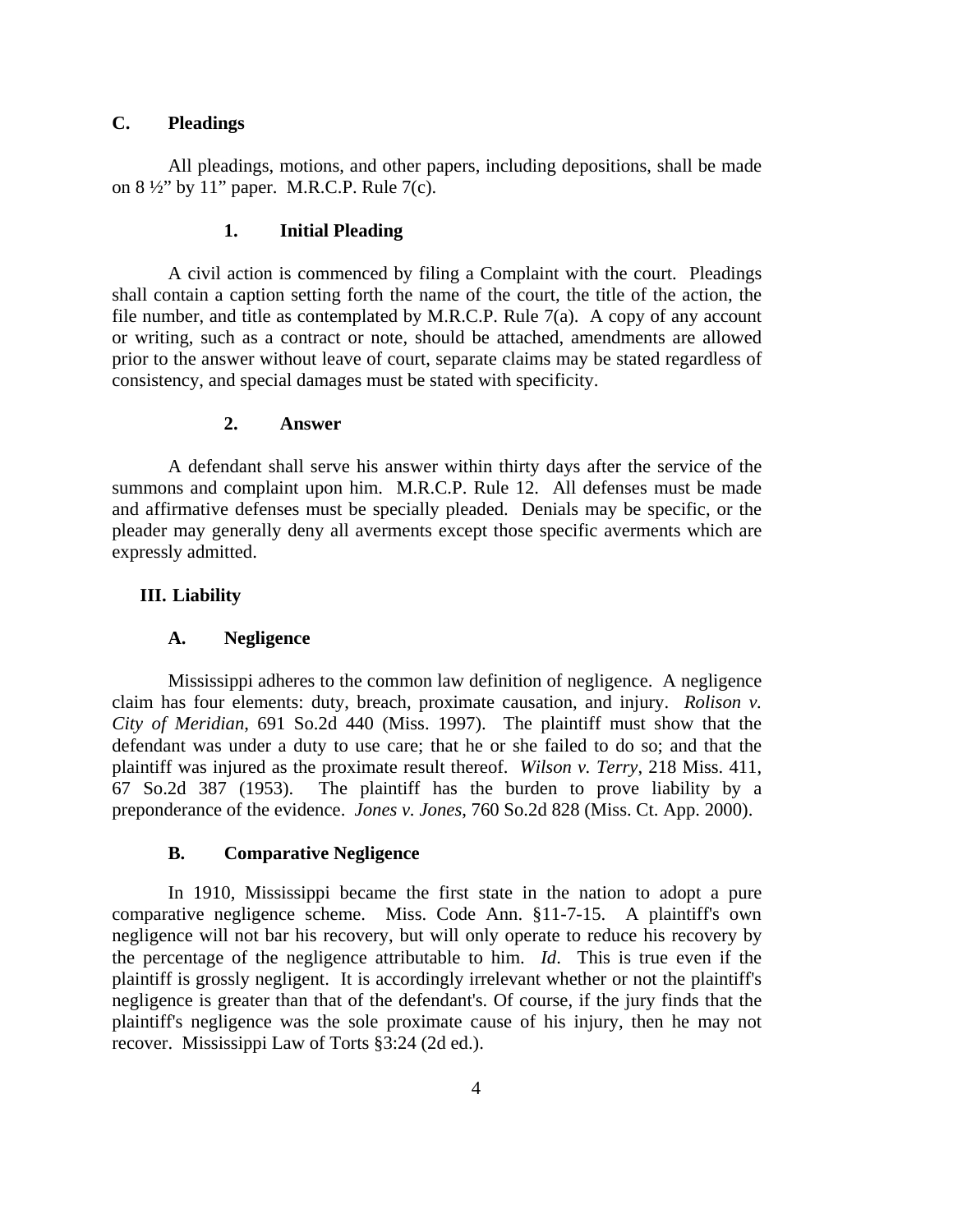## **C. Pleadings**

All pleadings, motions, and other papers, including depositions, shall be made on  $8\frac{1}{2}$ " by 11" paper. M.R.C.P. Rule 7(c).

## **1. Initial Pleading**

 A civil action is commenced by filing a Complaint with the court. Pleadings shall contain a caption setting forth the name of the court, the title of the action, the file number, and title as contemplated by M.R.C.P. Rule 7(a). A copy of any account or writing, such as a contract or note, should be attached, amendments are allowed prior to the answer without leave of court, separate claims may be stated regardless of consistency, and special damages must be stated with specificity.

## **2. Answer**

 A defendant shall serve his answer within thirty days after the service of the summons and complaint upon him. M.R.C.P. Rule 12. All defenses must be made and affirmative defenses must be specially pleaded. Denials may be specific, or the pleader may generally deny all averments except those specific averments which are expressly admitted.

#### **III. Liability**

#### **A. Negligence**

 Mississippi adheres to the common law definition of negligence. A negligence claim has four elements: duty, breach, proximate causation, and injury. *Rolison v. City of Meridian*, 691 So.2d 440 (Miss. 1997). The plaintiff must show that the defendant was under a duty to use care; that he or she failed to do so; and that the plaintiff was injured as the proximate result thereof. *Wilson v. Terry*, 218 Miss. 411, 67 So.2d 387 (1953). The plaintiff has the burden to prove liability by a preponderance of the evidence. *Jones v. Jones*, 760 So.2d 828 (Miss. Ct. App. 2000).

#### **B. Comparative Negligence**

 In 1910, Mississippi became the first state in the nation to adopt a pure comparative negligence scheme. Miss. Code Ann. §11-7-15. A plaintiff's own negligence will not bar his recovery, but will only operate to reduce his recovery by the percentage of the negligence attributable to him. *Id*. This is true even if the plaintiff is grossly negligent. It is accordingly irrelevant whether or not the plaintiff's negligence is greater than that of the defendant's. Of course, if the jury finds that the plaintiff's negligence was the sole proximate cause of his injury, then he may not recover. Mississippi Law of Torts §3:24 (2d ed.).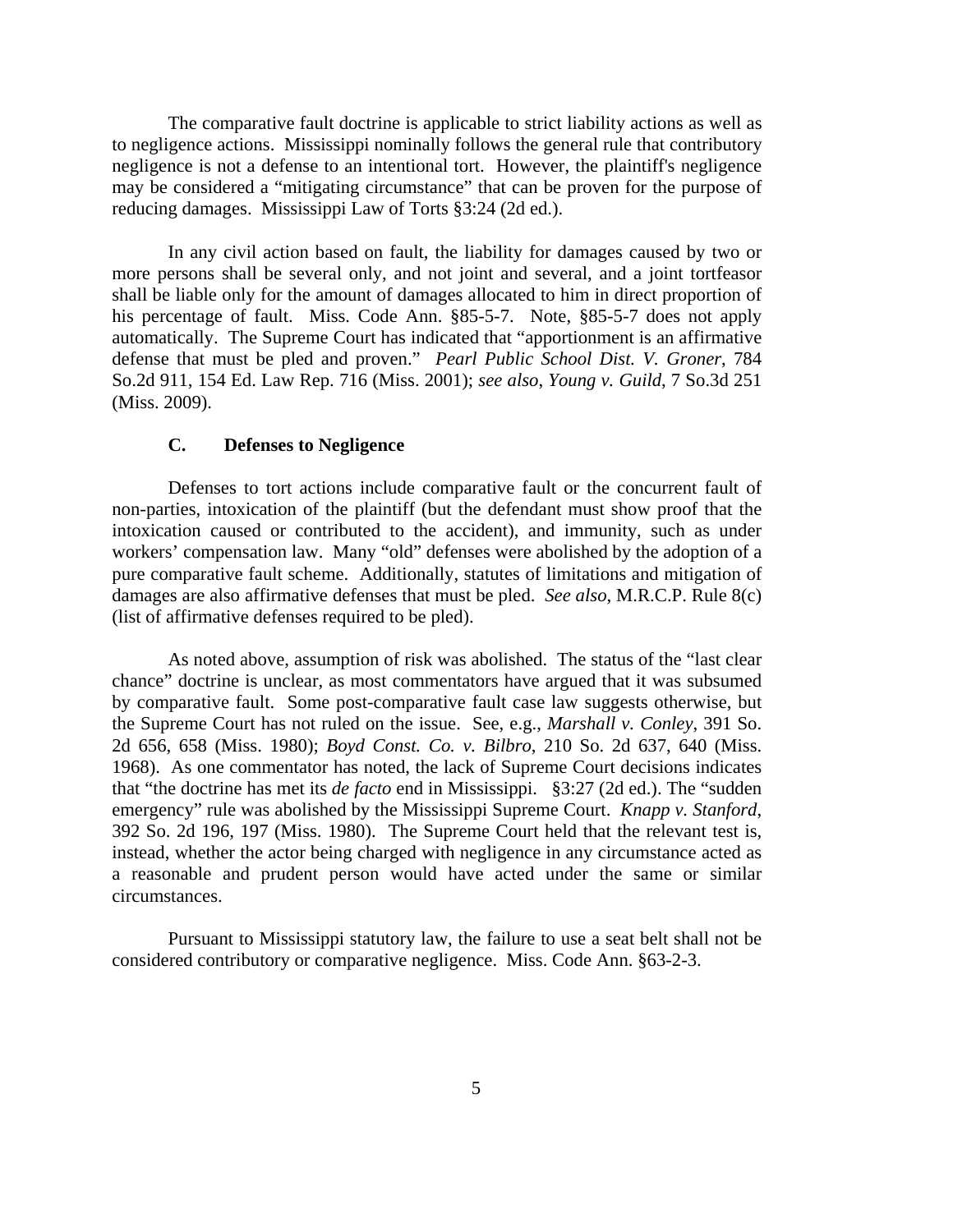The comparative fault doctrine is applicable to strict liability actions as well as to negligence actions. Mississippi nominally follows the general rule that contributory negligence is not a defense to an intentional tort. However, the plaintiff's negligence may be considered a "mitigating circumstance" that can be proven for the purpose of reducing damages. Mississippi Law of Torts §3:24 (2d ed.).

In any civil action based on fault, the liability for damages caused by two or more persons shall be several only, and not joint and several, and a joint tortfeasor shall be liable only for the amount of damages allocated to him in direct proportion of his percentage of fault. Miss. Code Ann. §85-5-7. Note, §85-5-7 does not apply automatically. The Supreme Court has indicated that "apportionment is an affirmative defense that must be pled and proven." *Pearl Public School Dist. V. Groner*, 784 So.2d 911, 154 Ed. Law Rep. 716 (Miss. 2001); *see also*, *Young v. Guild*, 7 So.3d 251 (Miss. 2009).

## **C. Defenses to Negligence**

 Defenses to tort actions include comparative fault or the concurrent fault of non-parties, intoxication of the plaintiff (but the defendant must show proof that the intoxication caused or contributed to the accident), and immunity, such as under workers' compensation law. Many "old" defenses were abolished by the adoption of a pure comparative fault scheme. Additionally, statutes of limitations and mitigation of damages are also affirmative defenses that must be pled. *See also*, M.R.C.P. Rule 8(c) (list of affirmative defenses required to be pled).

 As noted above, assumption of risk was abolished. The status of the "last clear chance" doctrine is unclear, as most commentators have argued that it was subsumed by comparative fault. Some post-comparative fault case law suggests otherwise, but the Supreme Court has not ruled on the issue. See, e.g., *Marshall v. Conley*, 391 So. 2d 656, 658 (Miss. 1980); *Boyd Const. Co. v. Bilbro*, 210 So. 2d 637, 640 (Miss. 1968). As one commentator has noted, the lack of Supreme Court decisions indicates that "the doctrine has met its *de facto* end in Mississippi. §3:27 (2d ed.). The "sudden emergency" rule was abolished by the Mississippi Supreme Court. *Knapp v. Stanford*, 392 So. 2d 196, 197 (Miss. 1980). The Supreme Court held that the relevant test is, instead, whether the actor being charged with negligence in any circumstance acted as a reasonable and prudent person would have acted under the same or similar circumstances.

 Pursuant to Mississippi statutory law, the failure to use a seat belt shall not be considered contributory or comparative negligence. Miss. Code Ann. §63-2-3.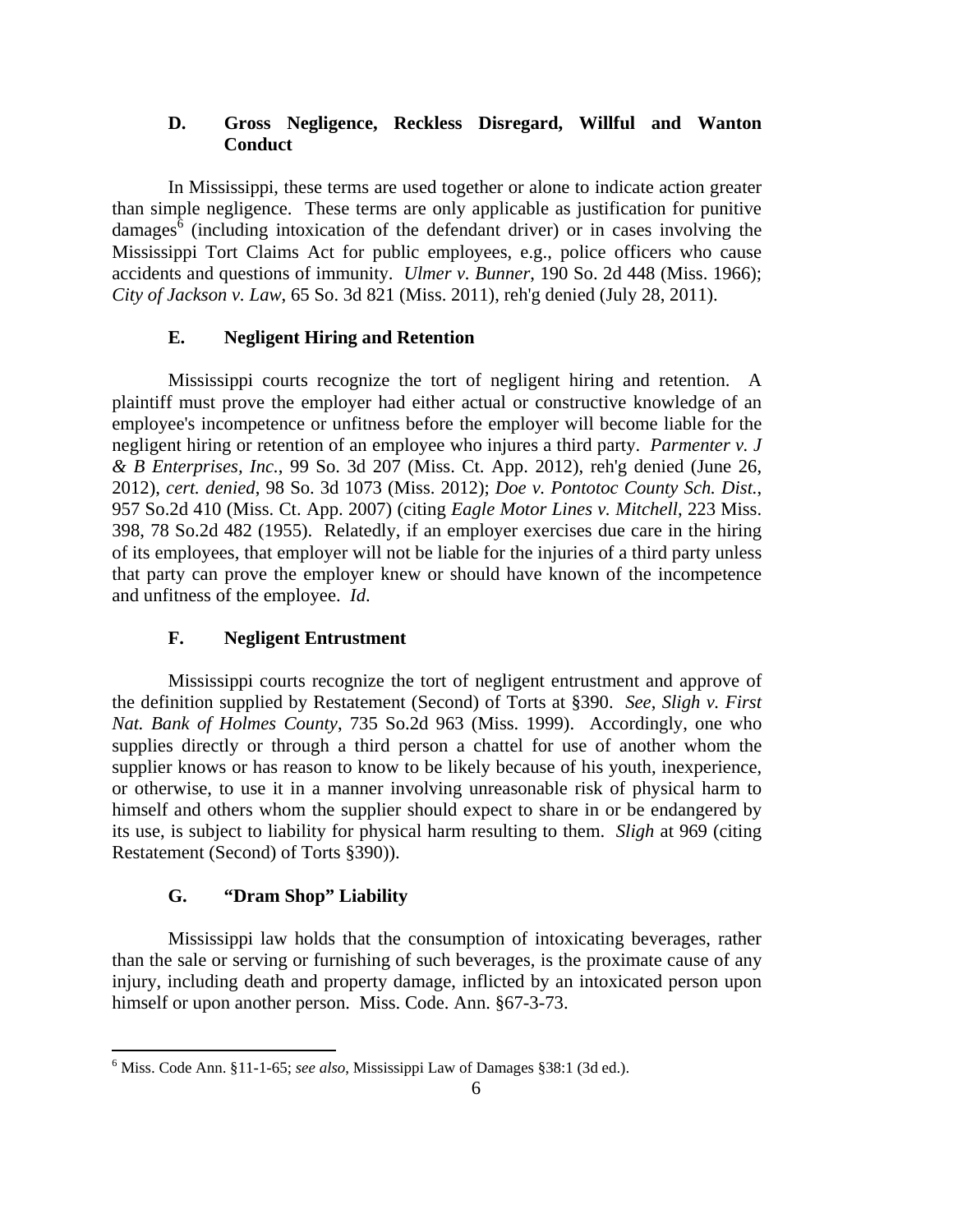# **D. Gross Negligence, Reckless Disregard, Willful and Wanton Conduct**

 In Mississippi, these terms are used together or alone to indicate action greater than simple negligence. These terms are only applicable as justification for punitive damages $\delta$  (including intoxication of the defendant driver) or in cases involving the Mississippi Tort Claims Act for public employees, e.g., police officers who cause accidents and questions of immunity. *Ulmer v. Bunner*, 190 So. 2d 448 (Miss. 1966); *City of Jackson v. Law*, 65 So. 3d 821 (Miss. 2011), reh'g denied (July 28, 2011).

## **E. Negligent Hiring and Retention**

Mississippi courts recognize the tort of negligent hiring and retention. A plaintiff must prove the employer had either actual or constructive knowledge of an employee's incompetence or unfitness before the employer will become liable for the negligent hiring or retention of an employee who injures a third party. *Parmenter v. J & B Enterprises, Inc.*, 99 So. 3d 207 (Miss. Ct. App. 2012), reh'g denied (June 26, 2012), *cert. denied*, 98 So. 3d 1073 (Miss. 2012); *Doe v. Pontotoc County Sch. Dist.*, 957 So.2d 410 (Miss. Ct. App. 2007) (citing *Eagle Motor Lines v. Mitchell*, 223 Miss. 398, 78 So.2d 482 (1955). Relatedly, if an employer exercises due care in the hiring of its employees, that employer will not be liable for the injuries of a third party unless that party can prove the employer knew or should have known of the incompetence and unfitness of the employee. *Id*.

### **F. Negligent Entrustment**

Mississippi courts recognize the tort of negligent entrustment and approve of the definition supplied by Restatement (Second) of Torts at §390. *See*, *Sligh v. First Nat. Bank of Holmes County*, 735 So.2d 963 (Miss. 1999). Accordingly, one who supplies directly or through a third person a chattel for use of another whom the supplier knows or has reason to know to be likely because of his youth, inexperience, or otherwise, to use it in a manner involving unreasonable risk of physical harm to himself and others whom the supplier should expect to share in or be endangered by its use, is subject to liability for physical harm resulting to them. *Sligh* at 969 (citing Restatement (Second) of Torts §390)).

### **G. "Dram Shop" Liability**

 $\overline{a}$ 

Mississippi law holds that the consumption of intoxicating beverages, rather than the sale or serving or furnishing of such beverages, is the proximate cause of any injury, including death and property damage, inflicted by an intoxicated person upon himself or upon another person. Miss. Code. Ann. §67-3-73.

<sup>6</sup> Miss. Code Ann. §11-1-65; *see also*, Mississippi Law of Damages §38:1 (3d ed.).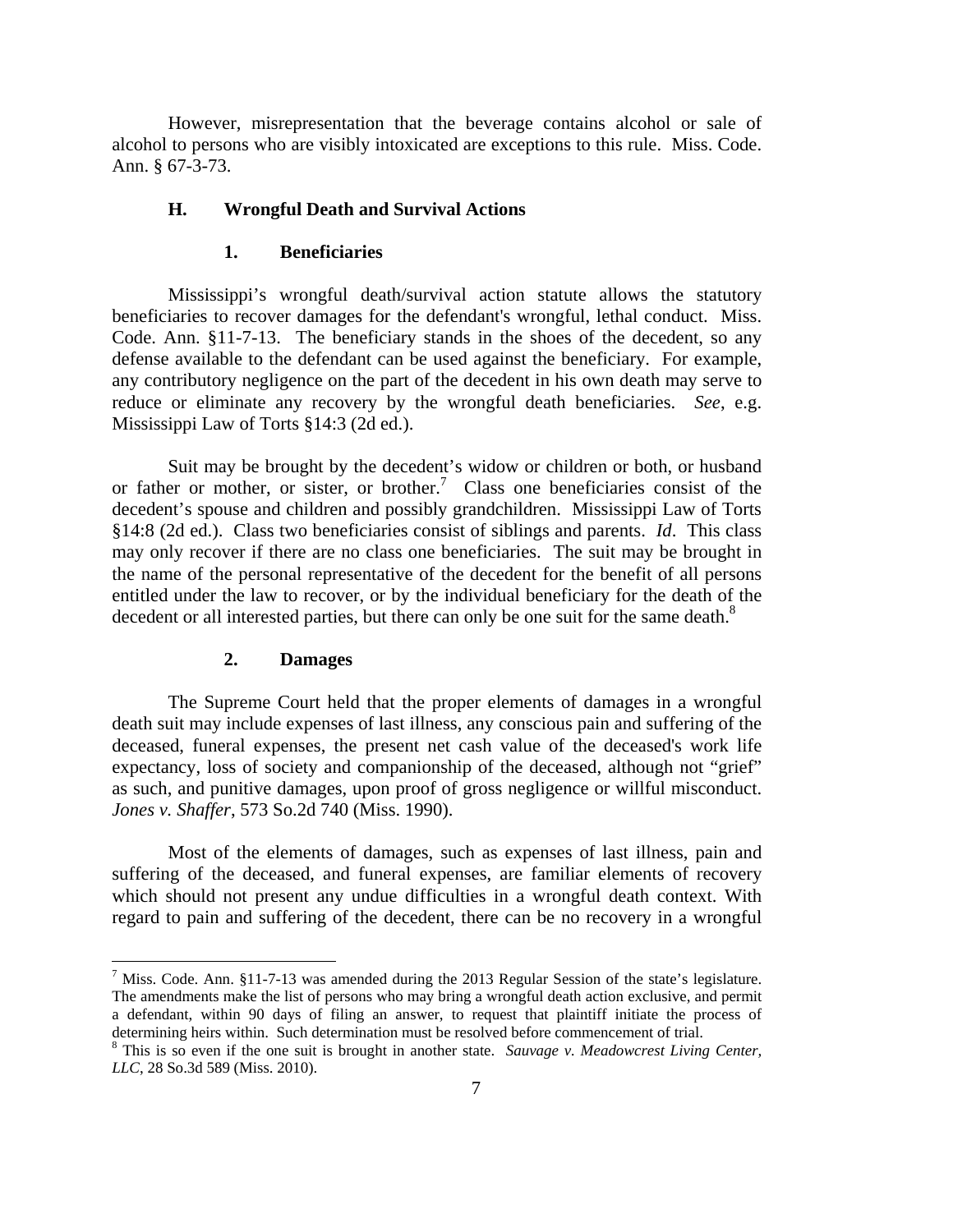However, misrepresentation that the beverage contains alcohol or sale of alcohol to persons who are visibly intoxicated are exceptions to this rule. Miss. Code. Ann. § 67-3-73.

#### **H. Wrongful Death and Survival Actions**

#### **1. Beneficiaries**

 Mississippi's wrongful death/survival action statute allows the statutory beneficiaries to recover damages for the defendant's wrongful, lethal conduct. Miss. Code. Ann. §11-7-13. The beneficiary stands in the shoes of the decedent, so any defense available to the defendant can be used against the beneficiary. For example, any contributory negligence on the part of the decedent in his own death may serve to reduce or eliminate any recovery by the wrongful death beneficiaries. *See*, e.g. Mississippi Law of Torts §14:3 (2d ed.).

Suit may be brought by the decedent's widow or children or both, or husband or father or mother, or sister, or brother.<sup>7</sup> Class one beneficiaries consist of the decedent's spouse and children and possibly grandchildren. Mississippi Law of Torts §14:8 (2d ed.). Class two beneficiaries consist of siblings and parents. *Id*. This class may only recover if there are no class one beneficiaries. The suit may be brought in the name of the personal representative of the decedent for the benefit of all persons entitled under the law to recover, or by the individual beneficiary for the death of the decedent or all interested parties, but there can only be one suit for the same death.<sup>8</sup>

## **2. Damages**

The Supreme Court held that the proper elements of damages in a wrongful death suit may include expenses of last illness, any conscious pain and suffering of the deceased, funeral expenses, the present net cash value of the deceased's work life expectancy, loss of society and companionship of the deceased, although not "grief" as such, and punitive damages, upon proof of gross negligence or willful misconduct. *Jones v. Shaffer*, 573 So.2d 740 (Miss. 1990).

Most of the elements of damages, such as expenses of last illness, pain and suffering of the deceased, and funeral expenses, are familiar elements of recovery which should not present any undue difficulties in a wrongful death context. With regard to pain and suffering of the decedent, there can be no recovery in a wrongful

<sup>&</sup>lt;sup>7</sup> Miss. Code. Ann. §11-7-13 was amended during the 2013 Regular Session of the state's legislature. The amendments make the list of persons who may bring a wrongful death action exclusive, and permit a defendant, within 90 days of filing an answer, to request that plaintiff initiate the process of determining heirs within. Such determination must be resolved before commencement of trial.

<sup>8</sup> This is so even if the one suit is brought in another state. *Sauvage v. Meadowcrest Living Center, LLC*, 28 So.3d 589 (Miss. 2010).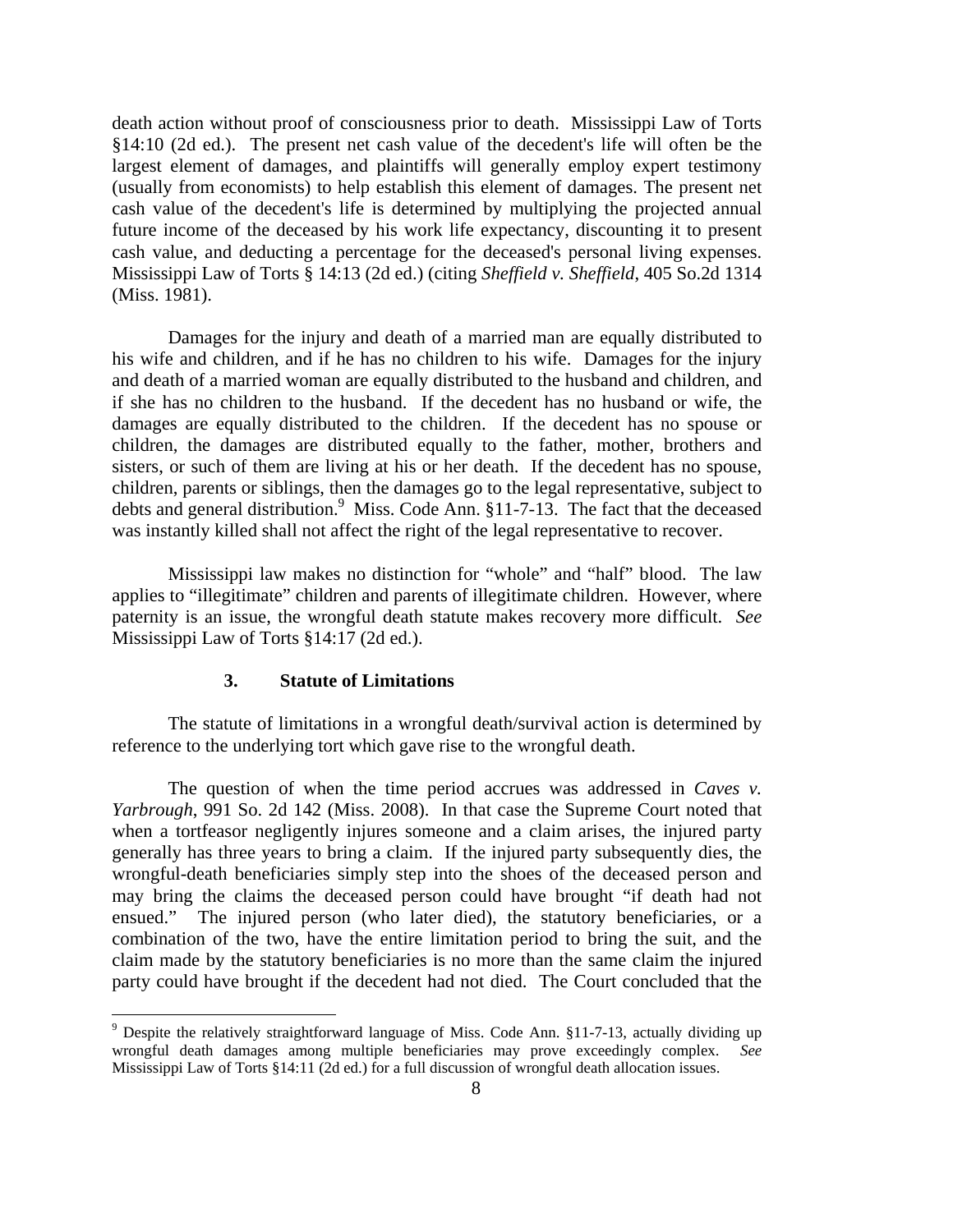death action without proof of consciousness prior to death. Mississippi Law of Torts §14:10 (2d ed.). The present net cash value of the decedent's life will often be the largest element of damages, and plaintiffs will generally employ expert testimony (usually from economists) to help establish this element of damages. The present net cash value of the decedent's life is determined by multiplying the projected annual future income of the deceased by his work life expectancy, discounting it to present cash value, and deducting a percentage for the deceased's personal living expenses. Mississippi Law of Torts § 14:13 (2d ed.) (citing *Sheffield v. Sheffield*, 405 So.2d 1314 (Miss. 1981).

Damages for the injury and death of a married man are equally distributed to his wife and children, and if he has no children to his wife. Damages for the injury and death of a married woman are equally distributed to the husband and children, and if she has no children to the husband. If the decedent has no husband or wife, the damages are equally distributed to the children. If the decedent has no spouse or children, the damages are distributed equally to the father, mother, brothers and sisters, or such of them are living at his or her death. If the decedent has no spouse, children, parents or siblings, then the damages go to the legal representative, subject to debts and general distribution.<sup>9</sup> Miss. Code Ann. §11-7-13. The fact that the deceased was instantly killed shall not affect the right of the legal representative to recover.

Mississippi law makes no distinction for "whole" and "half" blood. The law applies to "illegitimate" children and parents of illegitimate children. However, where paternity is an issue, the wrongful death statute makes recovery more difficult. *See* Mississippi Law of Torts §14:17 (2d ed.).

#### **3. Statute of Limitations**

 $\overline{a}$ 

The statute of limitations in a wrongful death/survival action is determined by reference to the underlying tort which gave rise to the wrongful death.

The question of when the time period accrues was addressed in *Caves v. Yarbrough*, 991 So. 2d 142 (Miss. 2008). In that case the Supreme Court noted that when a tortfeasor negligently injures someone and a claim arises, the injured party generally has three years to bring a claim. If the injured party subsequently dies, the wrongful-death beneficiaries simply step into the shoes of the deceased person and may bring the claims the deceased person could have brought "if death had not ensued." The injured person (who later died), the statutory beneficiaries, or a combination of the two, have the entire limitation period to bring the suit, and the claim made by the statutory beneficiaries is no more than the same claim the injured party could have brought if the decedent had not died. The Court concluded that the

<sup>&</sup>lt;sup>9</sup> Despite the relatively straightforward language of Miss. Code Ann. §11-7-13, actually dividing up wrongful death damages among multiple beneficiaries may prove exceedingly complex. *See* Mississippi Law of Torts §14:11 (2d ed.) for a full discussion of wrongful death allocation issues.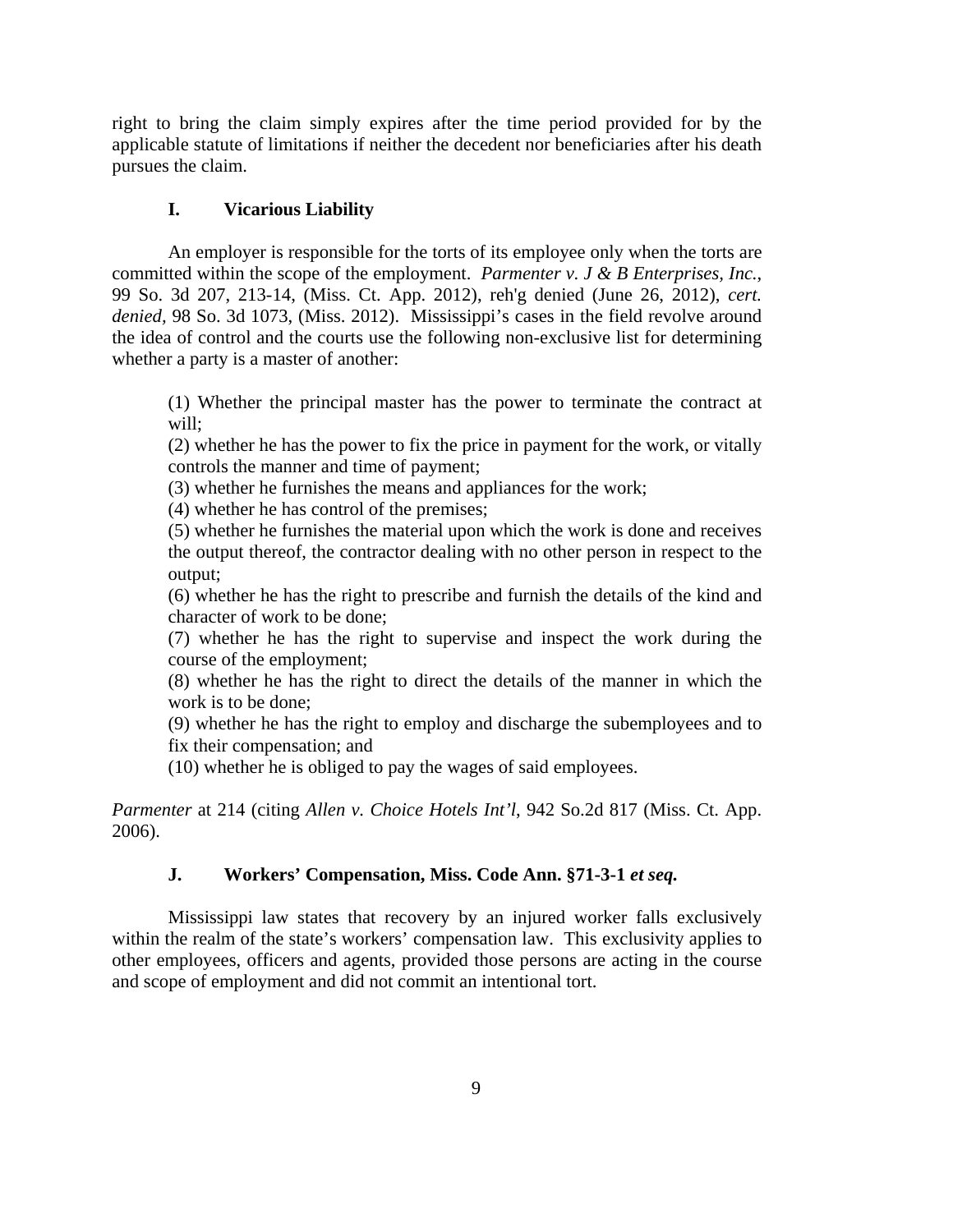right to bring the claim simply expires after the time period provided for by the applicable statute of limitations if neither the decedent nor beneficiaries after his death pursues the claim.

# **I. Vicarious Liability**

An employer is responsible for the torts of its employee only when the torts are committed within the scope of the employment. *Parmenter v. J & B Enterprises, Inc.*, 99 So. 3d 207, 213-14, (Miss. Ct. App. 2012), reh'g denied (June 26, 2012), *cert. denied,* 98 So. 3d 1073, (Miss. 2012). Mississippi's cases in the field revolve around the idea of control and the courts use the following non-exclusive list for determining whether a party is a master of another:

(1) Whether the principal master has the power to terminate the contract at will;

(2) whether he has the power to fix the price in payment for the work, or vitally controls the manner and time of payment;

(3) whether he furnishes the means and appliances for the work;

(4) whether he has control of the premises;

(5) whether he furnishes the material upon which the work is done and receives the output thereof, the contractor dealing with no other person in respect to the output;

(6) whether he has the right to prescribe and furnish the details of the kind and character of work to be done;

(7) whether he has the right to supervise and inspect the work during the course of the employment;

(8) whether he has the right to direct the details of the manner in which the work is to be done;

(9) whether he has the right to employ and discharge the subemployees and to fix their compensation; and

(10) whether he is obliged to pay the wages of said employees.

*Parmenter* at 214 (citing *Allen v. Choice Hotels Int'l*, 942 So.2d 817 (Miss. Ct. App. 2006).

# **J. Workers' Compensation, Miss. Code Ann. §71-3-1** *et seq.*

 Mississippi law states that recovery by an injured worker falls exclusively within the realm of the state's workers' compensation law. This exclusivity applies to other employees, officers and agents, provided those persons are acting in the course and scope of employment and did not commit an intentional tort.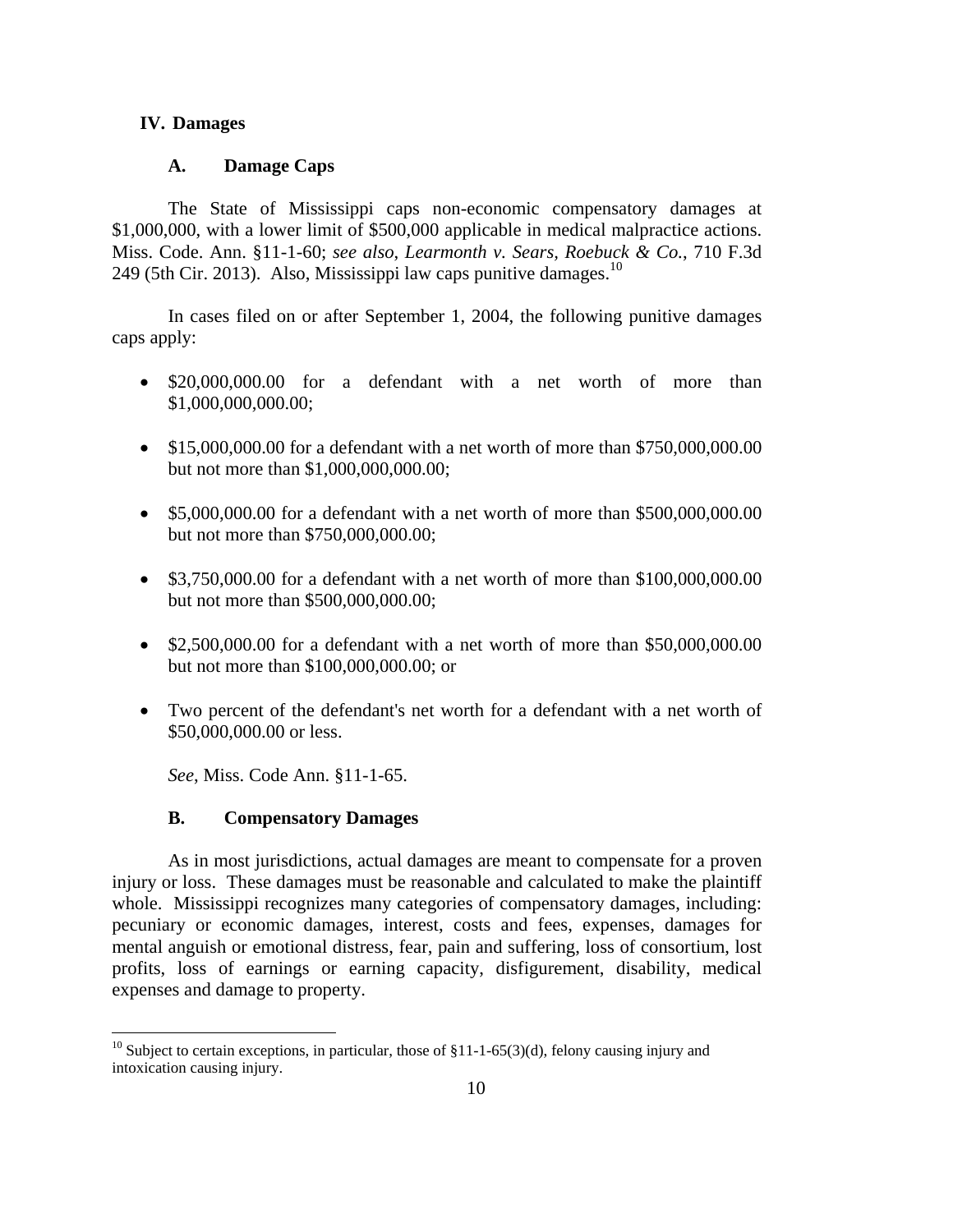## **IV. Damages**

### **A. Damage Caps**

 The State of Mississippi caps non-economic compensatory damages at \$1,000,000, with a lower limit of \$500,000 applicable in medical malpractice actions. Miss. Code. Ann. §11-1-60; *see also*, *Learmonth v. Sears, Roebuck & Co.*, 710 F.3d 249 (5th Cir. 2013). Also, Mississippi law caps punitive damages.<sup>10</sup>

In cases filed on or after September 1, 2004, the following punitive damages caps apply:

- \$20,000,000.00 for a defendant with a net worth of more than \$1,000,000,000.00;
- \$15,000,000.00 for a defendant with a net worth of more than \$750,000,000.00 but not more than \$1,000,000,000.00;
- \$5,000,000.00 for a defendant with a net worth of more than \$500,000,000.00 but not more than \$750,000,000.00;
- \$3,750,000.00 for a defendant with a net worth of more than \$100,000,000.00 but not more than \$500,000,000.00;
- \$2,500,000.00 for a defendant with a net worth of more than \$50,000,000.00 but not more than \$100,000,000.00; or
- Two percent of the defendant's net worth for a defendant with a net worth of \$50,000,000.00 or less.

*See*, Miss. Code Ann. §11-1-65.

#### **B. Compensatory Damages**

 $\overline{a}$ 

As in most jurisdictions, actual damages are meant to compensate for a proven injury or loss. These damages must be reasonable and calculated to make the plaintiff whole. Mississippi recognizes many categories of compensatory damages, including: pecuniary or economic damages, interest, costs and fees, expenses, damages for mental anguish or emotional distress, fear, pain and suffering, loss of consortium, lost profits, loss of earnings or earning capacity, disfigurement, disability, medical expenses and damage to property.

<sup>&</sup>lt;sup>10</sup> Subject to certain exceptions, in particular, those of  $$11-1-65(3)(d)$ , felony causing injury and intoxication causing injury.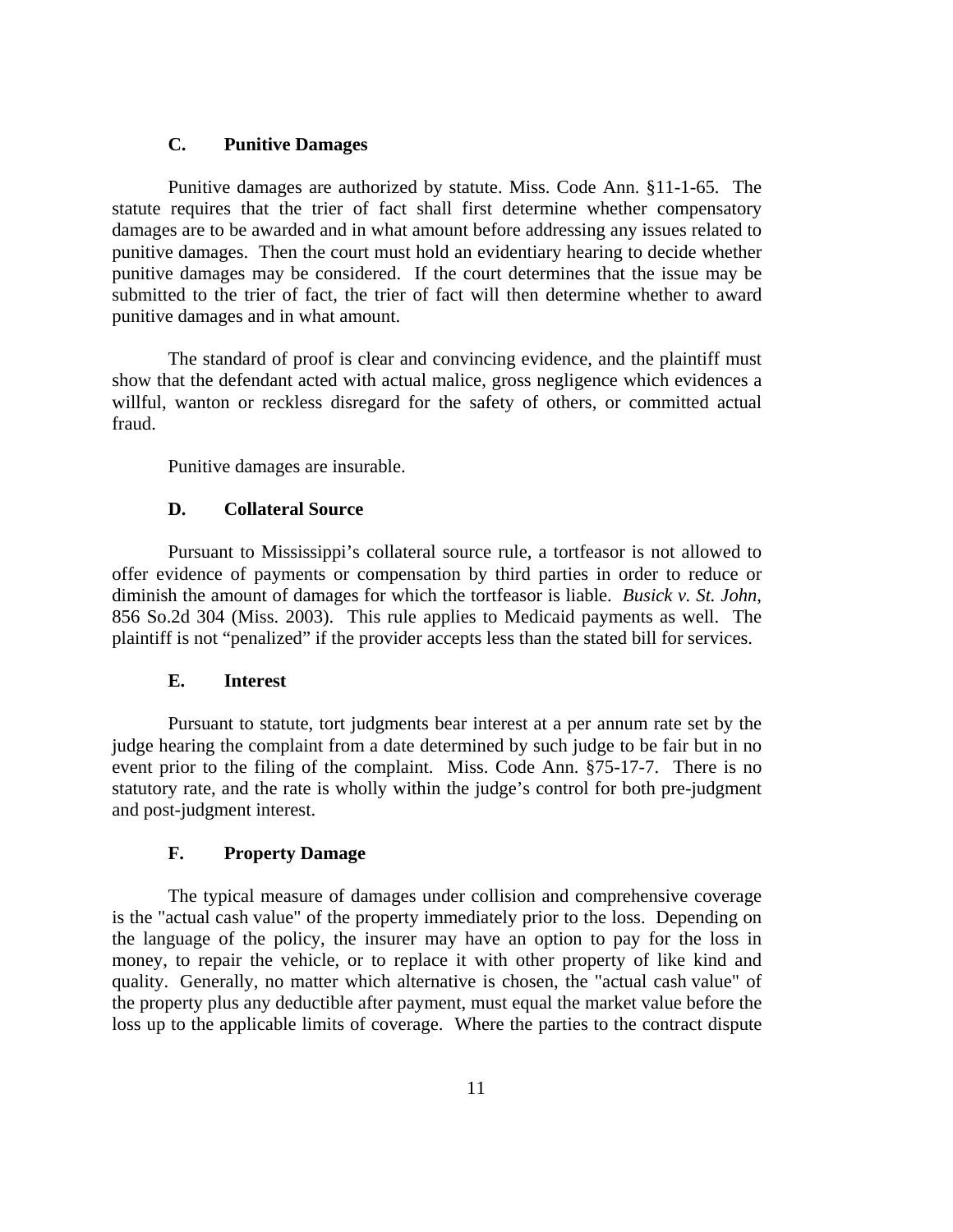### **C. Punitive Damages**

Punitive damages are authorized by statute. Miss. Code Ann. §11-1-65. The statute requires that the trier of fact shall first determine whether compensatory damages are to be awarded and in what amount before addressing any issues related to punitive damages. Then the court must hold an evidentiary hearing to decide whether punitive damages may be considered. If the court determines that the issue may be submitted to the trier of fact, the trier of fact will then determine whether to award punitive damages and in what amount.

The standard of proof is clear and convincing evidence, and the plaintiff must show that the defendant acted with actual malice, gross negligence which evidences a willful, wanton or reckless disregard for the safety of others, or committed actual fraud.

Punitive damages are insurable.

### **D. Collateral Source**

Pursuant to Mississippi's collateral source rule, a tortfeasor is not allowed to offer evidence of payments or compensation by third parties in order to reduce or diminish the amount of damages for which the tortfeasor is liable. *Busick v. St. John*, 856 So.2d 304 (Miss. 2003). This rule applies to Medicaid payments as well. The plaintiff is not "penalized" if the provider accepts less than the stated bill for services.

#### **E. Interest**

Pursuant to statute, tort judgments bear interest at a per annum rate set by the judge hearing the complaint from a date determined by such judge to be fair but in no event prior to the filing of the complaint. Miss. Code Ann. §75-17-7. There is no statutory rate, and the rate is wholly within the judge's control for both pre-judgment and post-judgment interest.

### **F. Property Damage**

The typical measure of damages under collision and comprehensive coverage is the "actual cash value" of the property immediately prior to the loss. Depending on the language of the policy, the insurer may have an option to pay for the loss in money, to repair the vehicle, or to replace it with other property of like kind and quality. Generally, no matter which alternative is chosen, the "actual cash value" of the property plus any deductible after payment, must equal the market value before the loss up to the applicable limits of coverage. Where the parties to the contract dispute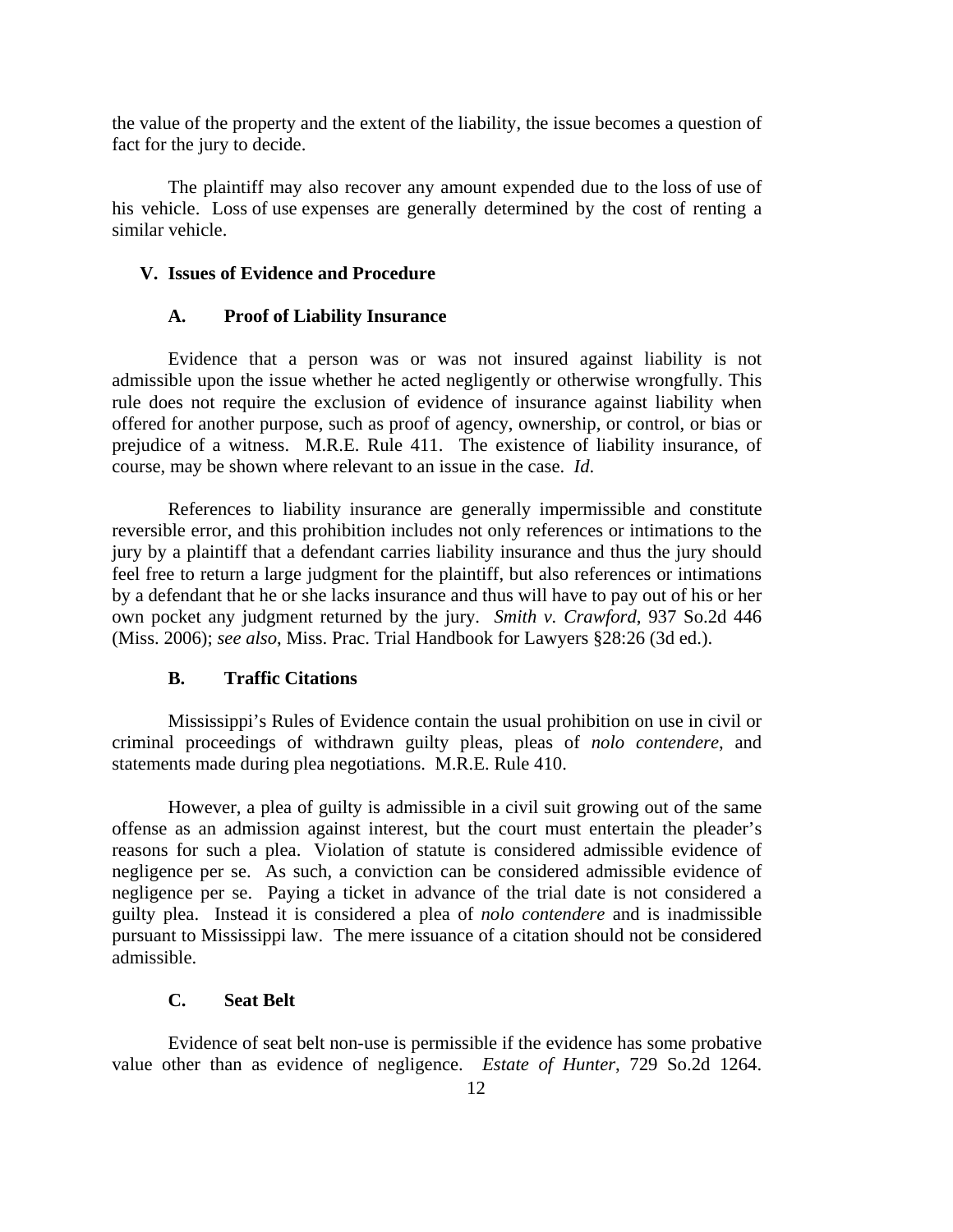the value of the property and the extent of the liability, the issue becomes a question of fact for the jury to decide.

The plaintiff may also recover any amount expended due to the loss of use of his vehicle. Loss of use expenses are generally determined by the cost of renting a similar vehicle.

## **V. Issues of Evidence and Procedure**

#### **A. Proof of Liability Insurance**

Evidence that a person was or was not insured against liability is not admissible upon the issue whether he acted negligently or otherwise wrongfully. This rule does not require the exclusion of evidence of insurance against liability when offered for another purpose, such as proof of agency, ownership, or control, or bias or prejudice of a witness. M.R.E. Rule 411. The existence of liability insurance, of course, may be shown where relevant to an issue in the case. *Id*.

References to liability insurance are generally impermissible and constitute reversible error, and this prohibition includes not only references or intimations to the jury by a plaintiff that a defendant carries liability insurance and thus the jury should feel free to return a large judgment for the plaintiff, but also references or intimations by a defendant that he or she lacks insurance and thus will have to pay out of his or her own pocket any judgment returned by the jury. *Smith v. Crawford*, 937 So.2d 446 (Miss. 2006); *see also*, Miss. Prac. Trial Handbook for Lawyers §28:26 (3d ed.).

#### **B. Traffic Citations**

 Mississippi's Rules of Evidence contain the usual prohibition on use in civil or criminal proceedings of withdrawn guilty pleas, pleas of *nolo contendere*, and statements made during plea negotiations. M.R.E. Rule 410.

However, a plea of guilty is admissible in a civil suit growing out of the same offense as an admission against interest, but the court must entertain the pleader's reasons for such a plea. Violation of statute is considered admissible evidence of negligence per se. As such, a conviction can be considered admissible evidence of negligence per se. Paying a ticket in advance of the trial date is not considered a guilty plea. Instead it is considered a plea of *nolo contendere* and is inadmissible pursuant to Mississippi law. The mere issuance of a citation should not be considered admissible.

## **C. Seat Belt**

 Evidence of seat belt non-use is permissible if the evidence has some probative value other than as evidence of negligence. *Estate of Hunter*, 729 So.2d 1264.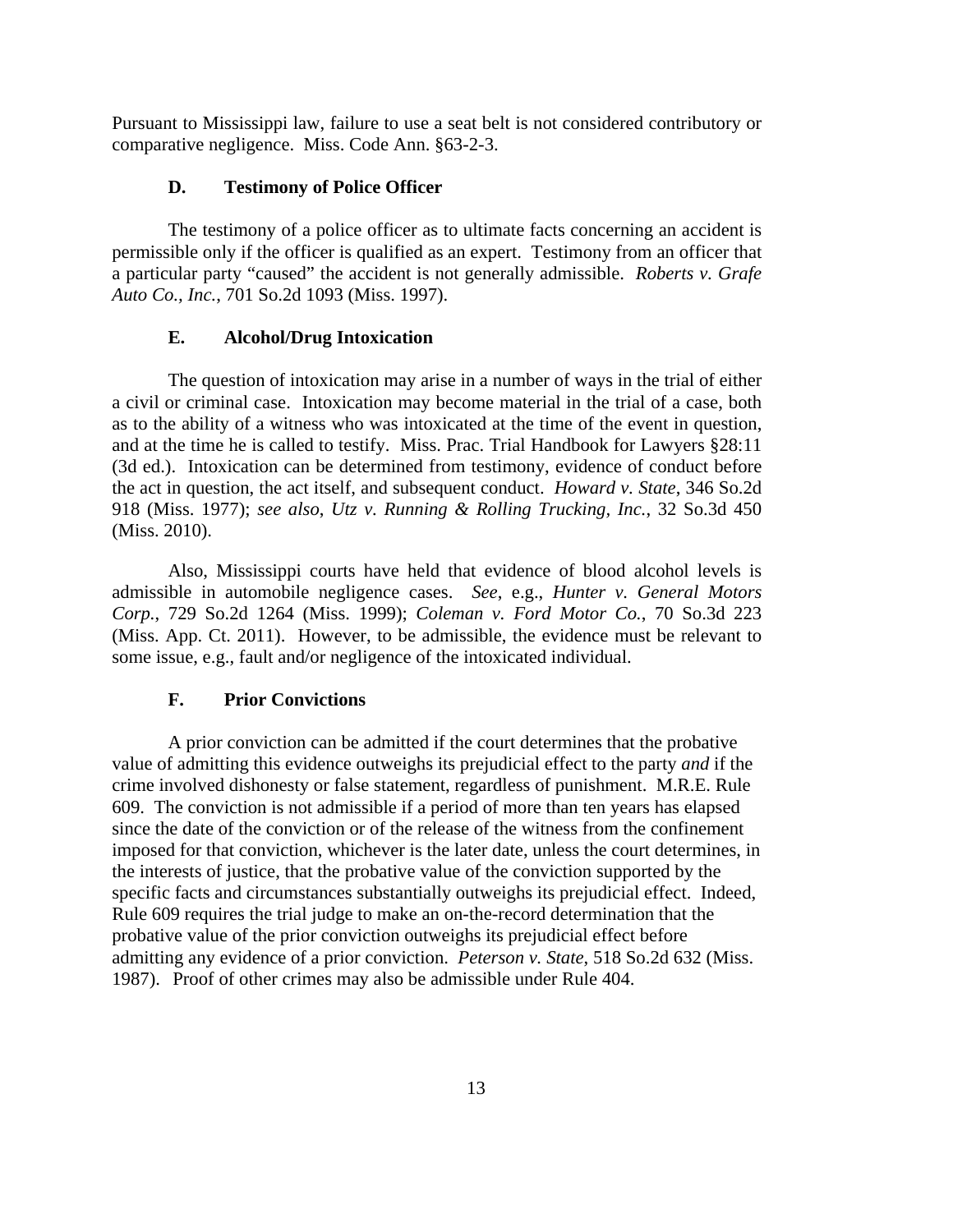Pursuant to Mississippi law, failure to use a seat belt is not considered contributory or comparative negligence. Miss. Code Ann. §63-2-3.

### **D. Testimony of Police Officer**

 The testimony of a police officer as to ultimate facts concerning an accident is permissible only if the officer is qualified as an expert. Testimony from an officer that a particular party "caused" the accident is not generally admissible. *Roberts v. Grafe Auto Co., Inc.*, 701 So.2d 1093 (Miss. 1997).

### **E. Alcohol/Drug Intoxication**

 The question of intoxication may arise in a number of ways in the trial of either a civil or criminal case. Intoxication may become material in the trial of a case, both as to the ability of a witness who was intoxicated at the time of the event in question, and at the time he is called to testify. Miss. Prac. Trial Handbook for Lawyers §28:11 (3d ed.). Intoxication can be determined from testimony, evidence of conduct before the act in question, the act itself, and subsequent conduct. *Howard v. State*, 346 So.2d 918 (Miss. 1977); *see also*, *Utz v. Running & Rolling Trucking, Inc.*, 32 So.3d 450 (Miss. 2010).

Also, Mississippi courts have held that evidence of blood alcohol levels is admissible in automobile negligence cases. *See*, e.g., *Hunter v. General Motors Corp.*, 729 So.2d 1264 (Miss. 1999); *Coleman v. Ford Motor Co.*, 70 So.3d 223 (Miss. App. Ct. 2011). However, to be admissible, the evidence must be relevant to some issue, e.g., fault and/or negligence of the intoxicated individual.

#### **F. Prior Convictions**

 A prior conviction can be admitted if the court determines that the probative value of admitting this evidence outweighs its prejudicial effect to the party *and* if the crime involved dishonesty or false statement, regardless of punishment. M.R.E. Rule 609. The conviction is not admissible if a period of more than ten years has elapsed since the date of the conviction or of the release of the witness from the confinement imposed for that conviction, whichever is the later date, unless the court determines, in the interests of justice, that the probative value of the conviction supported by the specific facts and circumstances substantially outweighs its prejudicial effect. Indeed, Rule 609 requires the trial judge to make an on-the-record determination that the probative value of the prior conviction outweighs its prejudicial effect before admitting any evidence of a prior conviction. *Peterson v. State*, 518 So.2d 632 (Miss. 1987). Proof of other crimes may also be admissible under Rule 404.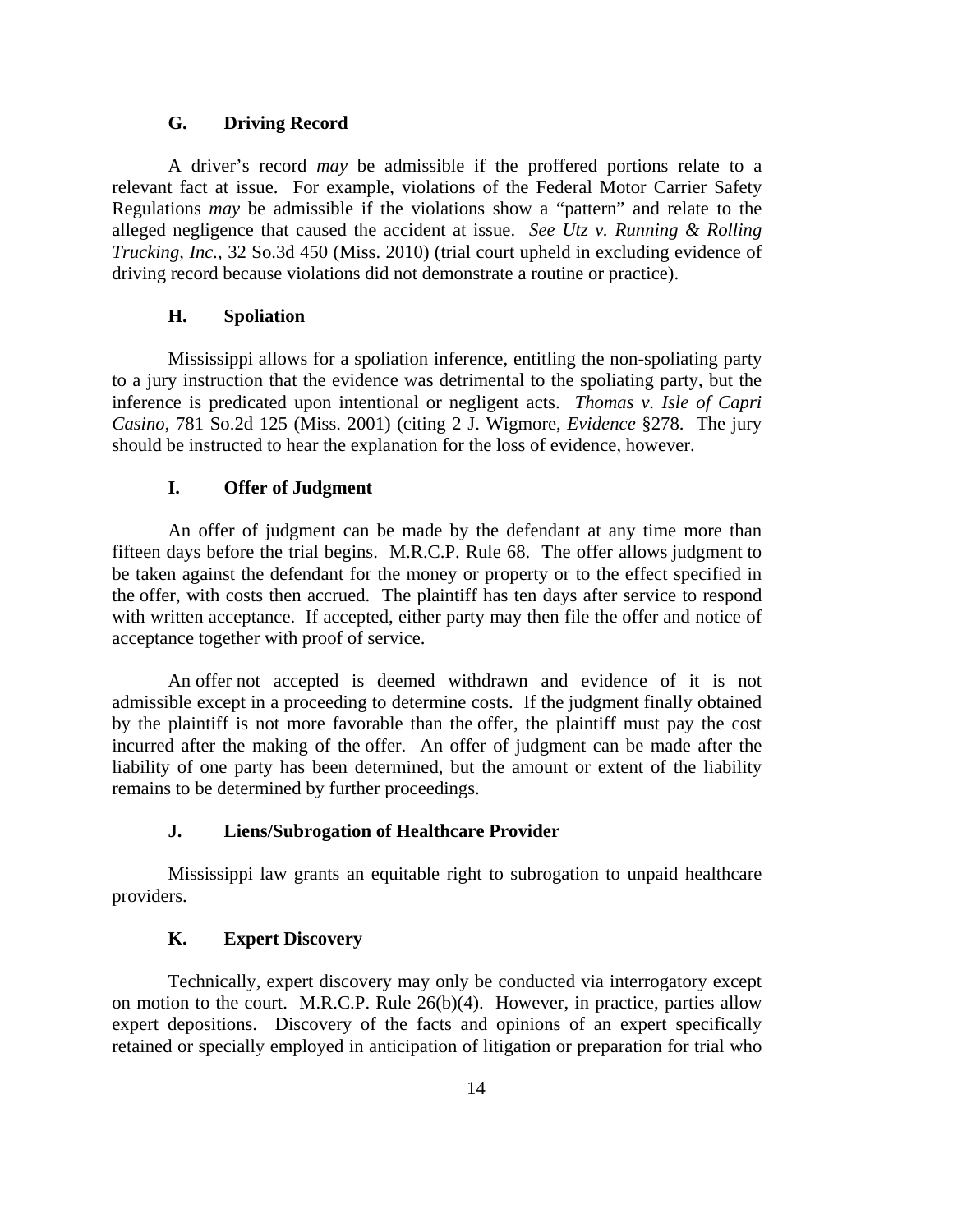### **G. Driving Record**

 A driver's record *may* be admissible if the proffered portions relate to a relevant fact at issue. For example, violations of the Federal Motor Carrier Safety Regulations *may* be admissible if the violations show a "pattern" and relate to the alleged negligence that caused the accident at issue. *See Utz v. Running & Rolling Trucking, Inc.*, 32 So.3d 450 (Miss. 2010) (trial court upheld in excluding evidence of driving record because violations did not demonstrate a routine or practice).

## **H. Spoliation**

 Mississippi allows for a spoliation inference, entitling the non-spoliating party to a jury instruction that the evidence was detrimental to the spoliating party, but the inference is predicated upon intentional or negligent acts. *Thomas v. Isle of Capri Casino*, 781 So.2d 125 (Miss. 2001) (citing 2 J. Wigmore, *Evidence* §278. The jury should be instructed to hear the explanation for the loss of evidence, however.

## **I. Offer of Judgment**

 An offer of judgment can be made by the defendant at any time more than fifteen days before the trial begins. M.R.C.P. Rule 68. The offer allows judgment to be taken against the defendant for the money or property or to the effect specified in the offer, with costs then accrued. The plaintiff has ten days after service to respond with written acceptance. If accepted, either party may then file the offer and notice of acceptance together with proof of service.

 An offer not accepted is deemed withdrawn and evidence of it is not admissible except in a proceeding to determine costs. If the judgment finally obtained by the plaintiff is not more favorable than the offer, the plaintiff must pay the cost incurred after the making of the offer. An offer of judgment can be made after the liability of one party has been determined, but the amount or extent of the liability remains to be determined by further proceedings.

### **J. Liens/Subrogation of Healthcare Provider**

Mississippi law grants an equitable right to subrogation to unpaid healthcare providers.

## **K. Expert Discovery**

Technically, expert discovery may only be conducted via interrogatory except on motion to the court. M.R.C.P. Rule 26(b)(4). However, in practice, parties allow expert depositions. Discovery of the facts and opinions of an expert specifically retained or specially employed in anticipation of litigation or preparation for trial who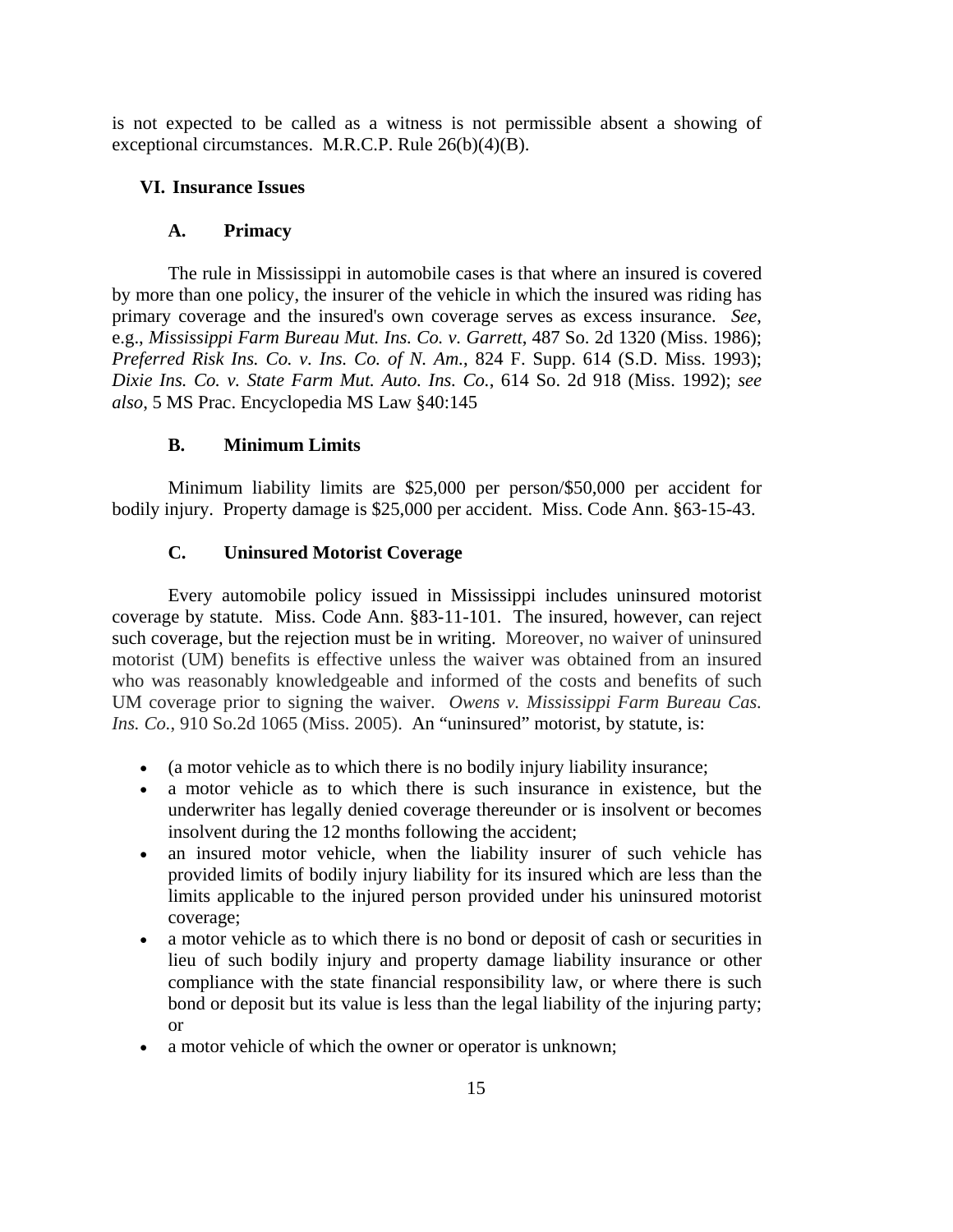is not expected to be called as a witness is not permissible absent a showing of exceptional circumstances. M.R.C.P. Rule 26(b)(4)(B).

## **VI. Insurance Issues**

## **A. Primacy**

 The rule in Mississippi in automobile cases is that where an insured is covered by more than one policy, the insurer of the vehicle in which the insured was riding has primary coverage and the insured's own coverage serves as excess insurance. *See*, e.g., *Mississippi Farm Bureau Mut. Ins. Co. v. Garrett*, 487 So. 2d 1320 (Miss. 1986); *Preferred Risk Ins. Co. v. Ins. Co. of N. Am.*, 824 F. Supp. 614 (S.D. Miss. 1993); *Dixie Ins. Co. v. State Farm Mut. Auto. Ins. Co.*, 614 So. 2d 918 (Miss. 1992); *see also*, 5 MS Prac. Encyclopedia MS Law §40:145

# **B. Minimum Limits**

 Minimum liability limits are \$25,000 per person/\$50,000 per accident for bodily injury. Property damage is \$25,000 per accident. Miss. Code Ann. §63-15-43.

# **C. Uninsured Motorist Coverage**

 Every automobile policy issued in Mississippi includes uninsured motorist coverage by statute. Miss. Code Ann. §83-11-101. The insured, however, can reject such coverage, but the rejection must be in writing. Moreover, no waiver of uninsured motorist (UM) benefits is effective unless the waiver was obtained from an insured who was reasonably knowledgeable and informed of the costs and benefits of such UM coverage prior to signing the waiver. *Owens v. Mississippi Farm Bureau Cas. Ins. Co.*, 910 So.2d 1065 (Miss. 2005). An "uninsured" motorist, by statute, is:

- (a motor vehicle as to which there is no bodily injury liability insurance;
- a motor vehicle as to which there is such insurance in existence, but the underwriter has legally denied coverage thereunder or is insolvent or becomes insolvent during the 12 months following the accident;
- an insured motor vehicle, when the liability insurer of such vehicle has provided limits of bodily injury liability for its insured which are less than the limits applicable to the injured person provided under his uninsured motorist coverage;
- a motor vehicle as to which there is no bond or deposit of cash or securities in lieu of such bodily injury and property damage liability insurance or other compliance with the state financial responsibility law, or where there is such bond or deposit but its value is less than the legal liability of the injuring party; or
- a motor vehicle of which the owner or operator is unknown;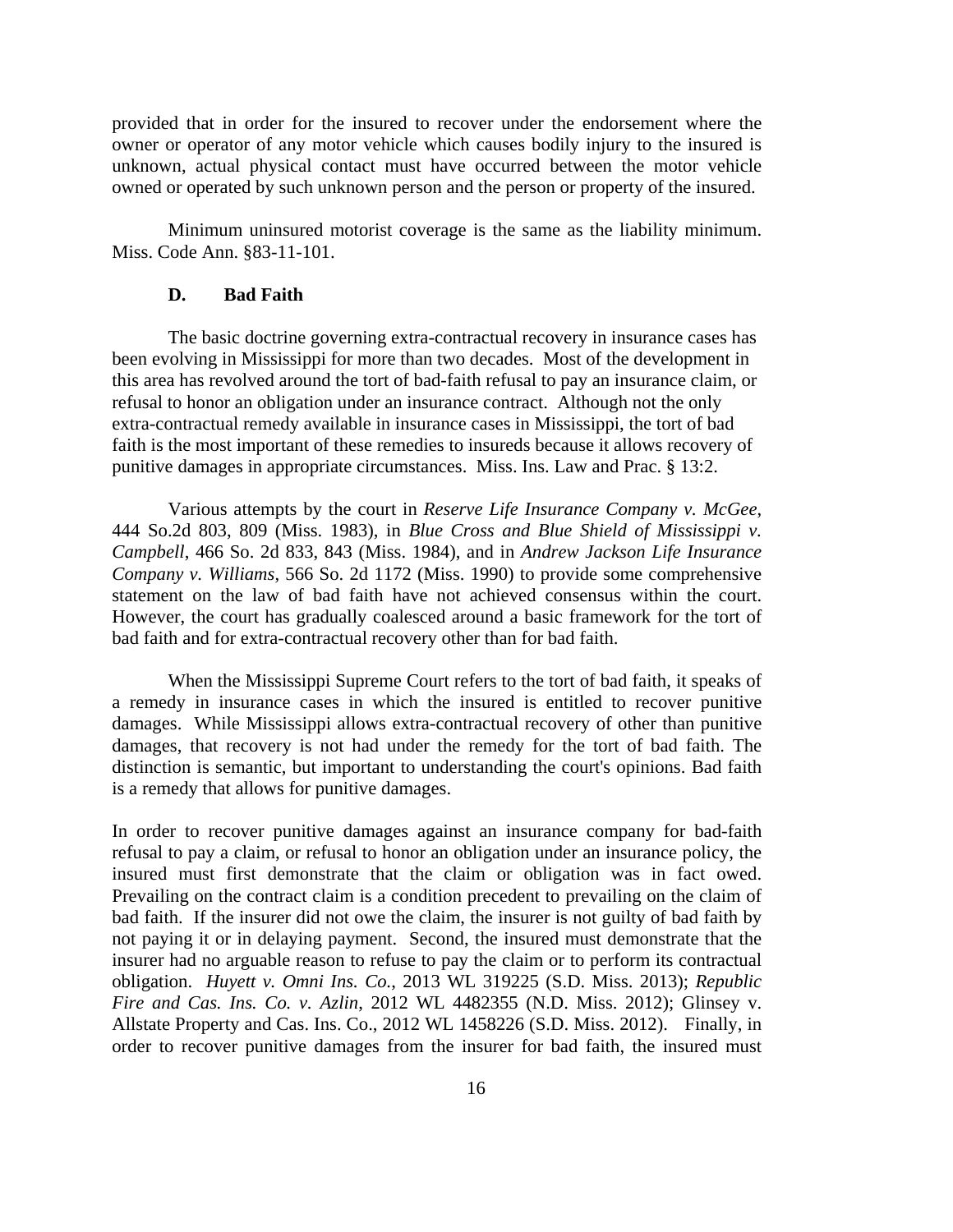provided that in order for the insured to recover under the endorsement where the owner or operator of any motor vehicle which causes bodily injury to the insured is unknown, actual physical contact must have occurred between the motor vehicle owned or operated by such unknown person and the person or property of the insured.

Minimum uninsured motorist coverage is the same as the liability minimum. Miss. Code Ann. §83-11-101.

#### **D. Bad Faith**

 The basic doctrine governing extra-contractual recovery in insurance cases has been evolving in Mississippi for more than two decades. Most of the development in this area has revolved around the tort of bad-faith refusal to pay an insurance claim, or refusal to honor an obligation under an insurance contract. Although not the only extra-contractual remedy available in insurance cases in Mississippi, the tort of bad faith is the most important of these remedies to insureds because it allows recovery of punitive damages in appropriate circumstances. Miss. Ins. Law and Prac. § 13:2.

Various attempts by the court in *Reserve Life Insurance Company v. McGee*, 444 So.2d 803, 809 (Miss. 1983), in *Blue Cross and Blue Shield of Mississippi v. Campbell*, 466 So. 2d 833, 843 (Miss. 1984), and in *Andrew Jackson Life Insurance Company v. Williams*, 566 So. 2d 1172 (Miss. 1990) to provide some comprehensive statement on the law of bad faith have not achieved consensus within the court. However, the court has gradually coalesced around a basic framework for the tort of bad faith and for extra-contractual recovery other than for bad faith.

When the Mississippi Supreme Court refers to the tort of bad faith, it speaks of a remedy in insurance cases in which the insured is entitled to recover punitive damages. While Mississippi allows extra-contractual recovery of other than punitive damages, that recovery is not had under the remedy for the tort of bad faith. The distinction is semantic, but important to understanding the court's opinions. Bad faith is a remedy that allows for punitive damages.

In order to recover punitive damages against an insurance company for bad-faith refusal to pay a claim, or refusal to honor an obligation under an insurance policy, the insured must first demonstrate that the claim or obligation was in fact owed. Prevailing on the contract claim is a condition precedent to prevailing on the claim of bad faith. If the insurer did not owe the claim, the insurer is not guilty of bad faith by not paying it or in delaying payment. Second, the insured must demonstrate that the insurer had no arguable reason to refuse to pay the claim or to perform its contractual obligation. *Huyett v. Omni Ins. Co.*, 2013 WL 319225 (S.D. Miss. 2013); *Republic Fire and Cas. Ins. Co. v. Azlin*, 2012 WL 4482355 (N.D. Miss. 2012); Glinsey v. Allstate Property and Cas. Ins. Co., 2012 WL 1458226 (S.D. Miss. 2012). Finally, in order to recover punitive damages from the insurer for bad faith, the insured must